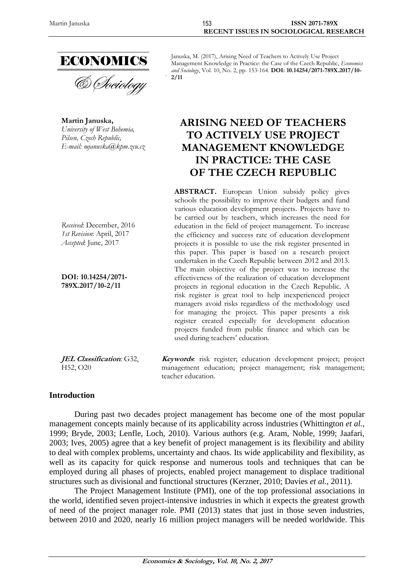

& *Dociology* 

**Martin Januska,** *University of West Bohemia, Pilsen, Czech Republic, E-mail: [mjanuska@kpm.zcu.cz](mailto:mjanuska@kpm.zcu.cz)*

*Received*: December, 2016 *1st Revision*: April, 2017 *Accepted*: June, 2017

**DOI: 10.14254/2071- 789X.2017/10-2/11**

**JEL Classification***:* G32, H52, O20

Januska, M. (2017), Arising Need of Teachers to Actively Use Project Management Knowledge in Practice: the Case of the Czech Republic, *Economics and Sociology*, Vol. 10, No. 2, pp. 153-164. **DOI: 10.14254/2071-789X.2017/10- 2/11**

# **ARISING NEED OF TEACHERS TO ACTIVELY USE PROJECT MANAGEMENT KNOWLEDGE IN PRACTICE: THE CASE OF THE CZECH REPUBLIC**

**ABSTRACT.** European Union subsidy policy gives schools the possibility to improve their budgets and fund various education development projects. Projects have to be carried out by teachers, which increases the need for education in the field of project management. To increase the efficiency and success rate of education development projects it is possible to use the risk register presented in this paper. This paper is based on a research project undertaken in the Czech Republic between 2012 and 2013. The main objective of the project was to increase the effectiveness of the realization of education development projects in regional education in the Czech Republic. A risk register is great tool to help inexperienced project managers avoid risks regardless of the methodology used for managing the project. This paper presents a risk register created especially for development education projects funded from public finance and which can be used during teachers' education.

**Keywords**: risk register; education development project; project management education; project management; risk management; teacher education.

#### **Introduction**

During past two decades project management has become one of the most popular management concepts mainly because of its applicability across industries (Whittington *et al.*, 1999; Bryde, 2003; Lenfle, Loch, 2010). Various authors (e.g. Aram, Noble, 1999; Jaafari, 2003; Ives, 2005) agree that a key benefit of project management is its flexibility and ability to deal with complex problems, uncertainty and chaos. Its wide applicability and flexibility, as well as its capacity for quick response and numerous tools and techniques that can be employed during all phases of projects, enabled project management to displace traditional structures such as divisional and functional structures (Kerzner, 2010; Davies *et al.*, 2011).

The Project Management Institute (PMI), one of the top professional associations in the world, identified seven project-intensive industries in which it expects the greatest growth of need of the project manager role. PMI (2013) states that just in those seven industries, between 2010 and 2020, nearly 16 million project managers will be needed worldwide. This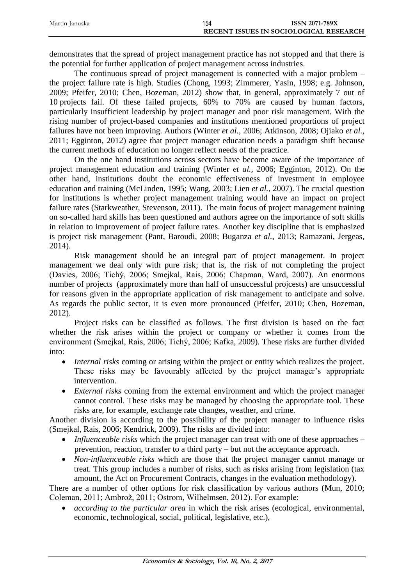| Martin Januska | 154                                    | <b>ISSN 2071-789X</b> |
|----------------|----------------------------------------|-----------------------|
|                | RECENT ISSUES IN SOCIOLOGICAL RESEARCH |                       |

demonstrates that the spread of project management practice has not stopped and that there is the potential for further application of project management across industries.

The continuous spread of project management is connected with a major problem – the project failure rate is high. Studies (Chong, 1993; Zimmerer, Yasin, 1998; e.g. Johnson, 2009; Pfeifer, 2010; Chen, Bozeman, 2012) show that, in general, approximately 7 out of 10 projects fail. Of these failed projects, 60% to 70% are caused by human factors, particularly insufficient leadership by project manager and poor risk management. With the rising number of project-based companies and institutions mentioned proportions of project failures have not been improving. Authors (Winter *et al.*, 2006; Atkinson, 2008; Ojiako *et al.*, 2011; Egginton, 2012) agree that project manager education needs a paradigm shift because the current methods of education no longer reflect needs of the practice.

On the one hand institutions across sectors have become aware of the importance of project management education and training (Winter *et al.*, 2006; Egginton, 2012). On the other hand, institutions doubt the economic effectiveness of investment in employee education and training (McLinden, 1995; Wang, 2003; Lien *et al.*, 2007). The crucial question for institutions is whether project management training would have an impact on project failure rates (Starkweather, Stevenson, 2011). The main focus of project management training on so-called hard skills has been questioned and authors agree on the importance of soft skills in relation to improvement of project failure rates. Another key discipline that is emphasized is project risk management (Pant, Baroudi, 2008; Buganza *et al.*, 2013; Ramazani, Jergeas, 2014).

Risk management should be an integral part of project management. In project management we deal only with pure risk; that is, the risk of not completing the project (Davies, 2006; Tichý, 2006; Smejkal, Rais, 2006; Chapman, Ward, 2007). An enormous number of projects (approximately more than half of unsuccessful projcests) are unsuccessful for reasons given in the appropriate application of risk management to anticipate and solve. As regards the public sector, it is even more pronounced (Pfeifer, 2010; Chen, Bozeman, 2012).

Project risks can be classified as follows. The first division is based on the fact whether the risk arises within the project or company or whether it comes from the environment (Smejkal, Rais, 2006; Tichý, 2006; Kafka, 2009). These risks are further divided into:

- *Internal risks* coming or arising within the project or entity which realizes the project. These risks may be favourably affected by the project manager's appropriate intervention.
- *External risks* coming from the external environment and which the project manager cannot control. These risks may be managed by choosing the appropriate tool. These risks are, for example, exchange rate changes, weather, and crime.

Another division is according to the possibility of the project manager to influence risks (Smejkal, Rais, 2006; Kendrick, 2009). The risks are divided into:

- *Influenceable risks* which the project manager can treat with one of these approaches prevention, reaction, transfer to a third party – but not the acceptance approach.
- *Non-influenceable risks* which are those that the project manager cannot manage or treat. This group includes a number of risks, such as risks arising from legislation (tax amount, the Act on Procurement Contracts, changes in the evaluation methodology).

There are a number of other options for risk classification by various authors (Mun, 2010; Coleman, 2011; Ambrož, 2011; Ostrom, Wilhelmsen, 2012). For example:

 *according to the particular area* in which the risk arises (ecological, environmental, economic, technological, social, political, legislative, etc.),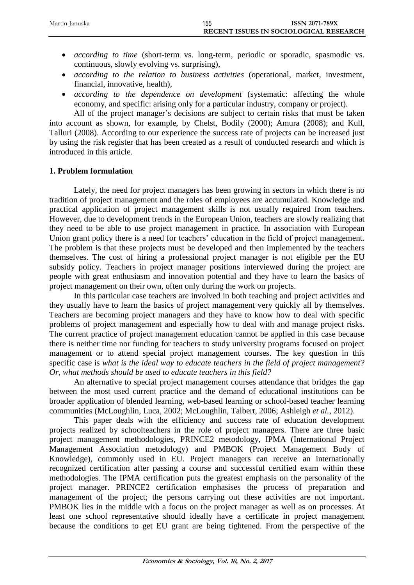- *according to time* (short-term vs. long-term, periodic or sporadic, spasmodic vs. continuous, slowly evolving vs. surprising),
- *according to the relation to business activities* (operational, market, investment, financial, innovative, health),
- *according to the dependence on development* (systematic: affecting the whole economy, and specific: arising only for a particular industry, company or project).

All of the project manager's decisions are subject to certain risks that must be taken into account as shown, for example, by Chelst, Bodily (2000); Amura (2008); and Kull, Talluri (2008). According to our experience the success rate of projects can be increased just by using the risk register that has been created as a result of conducted research and which is introduced in this article.

## **1. Problem formulation**

Lately, the need for project managers has been growing in sectors in which there is no tradition of project management and the roles of employees are accumulated. Knowledge and practical application of project management skills is not usually required from teachers. However, due to development trends in the European Union, teachers are slowly realizing that they need to be able to use project management in practice. In association with European Union grant policy there is a need for teachers' education in the field of project management. The problem is that these projects must be developed and then implemented by the teachers themselves. The cost of hiring a professional project manager is not eligible per the EU subsidy policy. Teachers in project manager positions interviewed during the project are people with great enthusiasm and innovation potential and they have to learn the basics of project management on their own, often only during the work on projects.

In this particular case teachers are involved in both teaching and project activities and they usually have to learn the basics of project management very quickly all by themselves. Teachers are becoming project managers and they have to know how to deal with specific problems of project management and especially how to deal with and manage project risks. The current practice of project management education cannot be applied in this case because there is neither time nor funding for teachers to study university programs focused on project management or to attend special project management courses. The key question in this specific case is *what is the ideal way to educate teachers in the field of project management? Or, what methods should be used to educate teachers in this field?*

An alternative to special project management courses attendance that bridges the gap between the most used current practice and the demand of educational institutions can be broader application of blended learning, web-based learning or school-based teacher learning communities (McLoughlin, Luca, 2002; McLoughlin, Talbert, 2006; Ashleigh *et al.*, 2012).

This paper deals with the efficiency and success rate of education development projects realized by schoolteachers in the role of project managers. There are three basic project management methodologies, PRINCE2 metodology, IPMA (International Project Management Association metodology) and PMBOK (Project Management Body of Knowledge), commonly used in EU. Project managers can receive an internationally recognized certification after passing a course and successful certified exam within these methodologies. The IPMA certification puts the greatest emphasis on the personality of the project manager. PRINCE2 certification emphasises the process of preparation and management of the project; the persons carrying out these activities are not important. PMBOK lies in the middle with a focus on the project manager as well as on processes. At least one school representative should ideally have a certificate in project management because the conditions to get EU grant are being tightened. From the perspective of the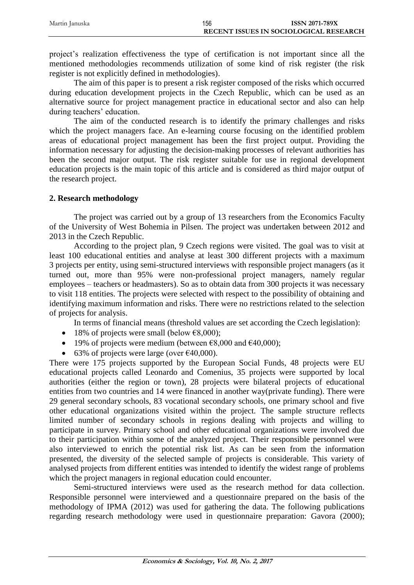| Martin Januska | 156                                    | <b>ISSN 2071-789X</b> |
|----------------|----------------------------------------|-----------------------|
|                | RECENT ISSUES IN SOCIOLOGICAL RESEARCH |                       |

project's realization effectiveness the type of certification is not important since all the mentioned methodologies recommends utilization of some kind of risk register (the risk register is not explicitly defined in methodologies).

The aim of this paper is to present a risk register composed of the risks which occurred during education development projects in the Czech Republic, which can be used as an alternative source for project management practice in educational sector and also can help during teachers' education.

The aim of the conducted research is to identify the primary challenges and risks which the project managers face. An e-learning course focusing on the identified problem areas of educational project management has been the first project output. Providing the information necessary for adjusting the decision-making processes of relevant authorities has been the second major output. The risk register suitable for use in regional development education projects is the main topic of this article and is considered as third major output of the research project.

#### **2. Research methodology**

The project was carried out by a group of 13 researchers from the Economics Faculty of the University of West Bohemia in Pilsen. The project was undertaken between 2012 and 2013 in the Czech Republic.

According to the project plan, 9 Czech regions were visited. The goal was to visit at least 100 educational entities and analyse at least 300 different projects with a maximum 3 projects per entity, using semi-structured interviews with responsible project managers (as it turned out, more than 95% were non-professional project managers, namely regular employees – teachers or headmasters). So as to obtain data from 300 projects it was necessary to visit 118 entities. The projects were selected with respect to the possibility of obtaining and identifying maximum information and risks. There were no restrictions related to the selection of projects for analysis.

In terms of financial means (threshold values are set according the Czech legislation):

- 18% of projects were small (below  $\epsilon$ 8,000);
- 19% of projects were medium (between  $\epsilon$ 8,000 and  $\epsilon$ 40,000);
- 63% of projects were large (over  $\epsilon$ 40,000).

There were 175 projects supported by the European Social Funds, 48 projects were EU educational projects called Leonardo and Comenius, 35 projects were supported by local authorities (either the region or town), 28 projects were bilateral projects of educational entities from two countries and 14 were financed in another way(private funding). There were 29 general secondary schools, 83 vocational secondary schools, one primary school and five other educational organizations visited within the project. The sample structure reflects limited number of secondary schools in regions dealing with projects and willing to participate in survey. Primary school and other educational organizations were involved due to their participation within some of the analyzed project. Their responsible personnel were also interviewed to enrich the potential risk list. As can be seen from the information presented, the diversity of the selected sample of projects is considerable. This variety of analysed projects from different entities was intended to identify the widest range of problems which the project managers in regional education could encounter.

Semi-structured interviews were used as the research method for data collection. Responsible personnel were interviewed and a questionnaire prepared on the basis of the methodology of IPMA (2012) was used for gathering the data. The following publications regarding research methodology were used in questionnaire preparation: Gavora (2000);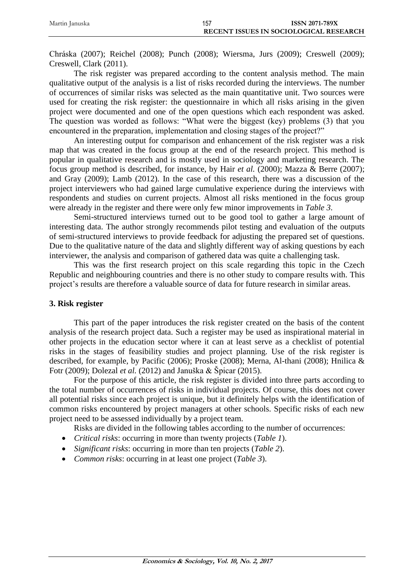| Martin Januska | 157                                    | <b>ISSN 2071-789X</b> |
|----------------|----------------------------------------|-----------------------|
|                | RECENT ISSUES IN SOCIOLOGICAL RESEARCH |                       |

Chráska (2007); Reichel (2008); Punch (2008); Wiersma, Jurs (2009); Creswell (2009); Creswell, Clark (2011).

The risk register was prepared according to the content analysis method. The main qualitative output of the analysis is a list of risks recorded during the interviews. The number of occurrences of similar risks was selected as the main quantitative unit. Two sources were used for creating the risk register: the questionnaire in which all risks arising in the given project were documented and one of the open questions which each respondent was asked. The question was worded as follows: "What were the biggest (key) problems (3) that you encountered in the preparation, implementation and closing stages of the project?"

An interesting output for comparison and enhancement of the risk register was a risk map that was created in the focus group at the end of the research project. This method is popular in qualitative research and is mostly used in sociology and marketing research. The focus group method is described, for instance, by Hair *et al.* (2000); Mazza & Berre (2007); and Gray (2009); Lamb (2012). In the case of this research, there was a discussion of the project interviewers who had gained large cumulative experience during the interviews with respondents and studies on current projects. Almost all risks mentioned in the focus group were already in the register and there were only few minor improvements in *Table 3*.

Semi-structured interviews turned out to be good tool to gather a large amount of interesting data. The author strongly recommends pilot testing and evaluation of the outputs of semi-structured interviews to provide feedback for adjusting the prepared set of questions. Due to the qualitative nature of the data and slightly different way of asking questions by each interviewer, the analysis and comparison of gathered data was quite a challenging task.

This was the first research project on this scale regarding this topic in the Czech Republic and neighbouring countries and there is no other study to compare results with. This project's results are therefore a valuable source of data for future research in similar areas.

## **3. Risk register**

This part of the paper introduces the risk register created on the basis of the content analysis of the research project data. Such a register may be used as inspirational material in other projects in the education sector where it can at least serve as a checklist of potential risks in the stages of feasibility studies and project planning. Use of the risk register is described, for example, by Pacific (2006); Proske (2008); Merna, Al-thani (2008); Hnilica & Fotr (2009); Dolezal *et al.* (2012) and Januška & Špicar (2015).

For the purpose of this article, the risk register is divided into three parts according to the total number of occurrences of risks in individual projects. Of course, this does not cover all potential risks since each project is unique, but it definitely helps with the identification of common risks encountered by project managers at other schools. Specific risks of each new project need to be assessed individually by a project team.

Risks are divided in the following tables according to the number of occurrences:

- *Critical risks*: occurring in more than twenty projects (*Table 1*).
- *Significant risks*: occurring in more than ten projects (*Table 2*).
- *Common risks*: occurring in at least one project (*Table 3*).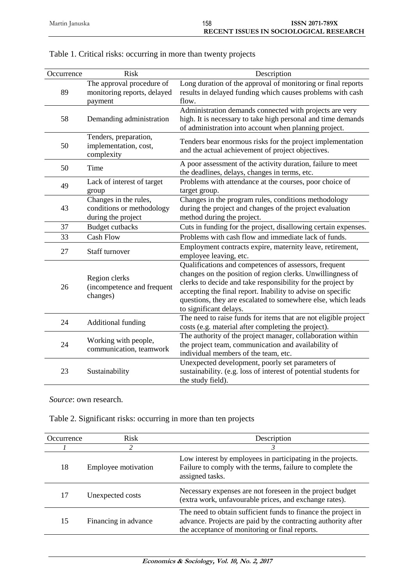| Occurrence | Risk                                                    | Description                                                      |
|------------|---------------------------------------------------------|------------------------------------------------------------------|
|            | The approval procedure of                               | Long duration of the approval of monitoring or final reports     |
| 89         | monitoring reports, delayed                             | results in delayed funding which causes problems with cash       |
|            | payment                                                 | flow.                                                            |
|            |                                                         | Administration demands connected with projects are very          |
| 58         | Demanding administration                                | high. It is necessary to take high personal and time demands     |
|            |                                                         | of administration into account when planning project.            |
|            | Tenders, preparation,                                   | Tenders bear enormous risks for the project implementation       |
| 50         | implementation, cost,                                   | and the actual achievement of project objectives.                |
|            | complexity                                              |                                                                  |
| 50         | Time                                                    | A poor assessment of the activity duration, failure to meet      |
|            |                                                         | the deadlines, delays, changes in terms, etc.                    |
| 49         | Lack of interest of target                              | Problems with attendance at the courses, poor choice of          |
|            | group                                                   | target group.                                                    |
|            | Changes in the rules,                                   | Changes in the program rules, conditions methodology             |
| 43         | conditions or methodology                               | during the project and changes of the project evaluation         |
|            | during the project                                      | method during the project.                                       |
| 37         | <b>Budget cutbacks</b>                                  | Cuts in funding for the project, disallowing certain expenses.   |
| 33         | <b>Cash Flow</b>                                        | Problems with cash flow and immediate lack of funds.             |
| 27         | Staff turnover                                          | Employment contracts expire, maternity leave, retirement,        |
|            |                                                         | employee leaving, etc.                                           |
|            |                                                         | Qualifications and competences of assessors, frequent            |
|            | Region clerks<br>(incompetence and frequent<br>changes) | changes on the position of region clerks. Unwillingness of       |
| 26         |                                                         | clerks to decide and take responsibility for the project by      |
|            |                                                         | accepting the final report. Inability to advise on specific      |
|            |                                                         | questions, they are escalated to somewhere else, which leads     |
|            |                                                         | to significant delays.                                           |
| 24         | <b>Additional funding</b>                               | The need to raise funds for items that are not eligible project  |
|            |                                                         | costs (e.g. material after completing the project).              |
| 24         | Working with people,                                    | The authority of the project manager, collaboration within       |
|            | communication, teamwork                                 | the project team, communication and availability of              |
|            |                                                         | individual members of the team, etc.                             |
| 23         |                                                         | Unexpected development, poorly set parameters of                 |
|            | Sustainability                                          | sustainability. (e.g. loss of interest of potential students for |
|            |                                                         | the study field).                                                |

| Table 1. Critical risks: occurring in more than twenty projects |
|-----------------------------------------------------------------|
|-----------------------------------------------------------------|

*Source*: own research.

| Table 2. Significant risks: occurring in more than ten projects |  |  |
|-----------------------------------------------------------------|--|--|
|                                                                 |  |  |
|                                                                 |  |  |

| Occurrence | <b>Risk</b>          | Description                                                                                                                                                                      |
|------------|----------------------|----------------------------------------------------------------------------------------------------------------------------------------------------------------------------------|
|            | $\mathfrak{D}$       | 3                                                                                                                                                                                |
| 18         | Employee motivation  | Low interest by employees in participating in the projects.<br>Failure to comply with the terms, failure to complete the<br>assigned tasks.                                      |
| 17         | Unexpected costs     | Necessary expenses are not foreseen in the project budget<br>(extra work, unfavourable prices, and exchange rates).                                                              |
| 15         | Financing in advance | The need to obtain sufficient funds to finance the project in<br>advance. Projects are paid by the contracting authority after<br>the acceptance of monitoring or final reports. |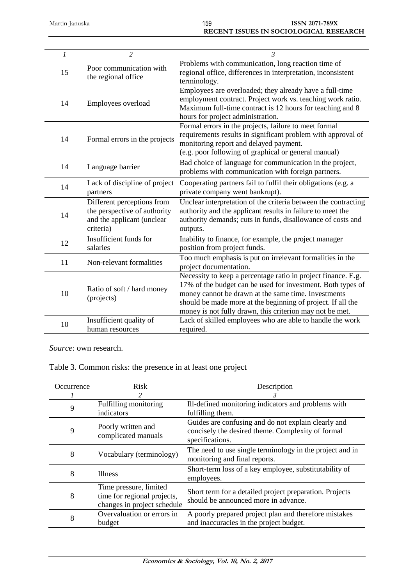| $\mathcal{I}$ | $\overline{c}$                                                                                        | $\mathfrak{Z}$                                                                                                                                                                                                                                                                                                 |
|---------------|-------------------------------------------------------------------------------------------------------|----------------------------------------------------------------------------------------------------------------------------------------------------------------------------------------------------------------------------------------------------------------------------------------------------------------|
| 15            | Poor communication with<br>the regional office                                                        | Problems with communication, long reaction time of<br>regional office, differences in interpretation, inconsistent<br>terminology.                                                                                                                                                                             |
| 14            | Employees overload                                                                                    | Employees are overloaded; they already have a full-time<br>employment contract. Project work vs. teaching work ratio.<br>Maximum full-time contract is 12 hours for teaching and 8<br>hours for project administration.                                                                                        |
| 14            | Formal errors in the projects                                                                         | Formal errors in the projects, failure to meet formal<br>requirements results in significant problem with approval of<br>monitoring report and delayed payment.<br>(e.g. poor following of graphical or general manual)                                                                                        |
| 14            | Language barrier                                                                                      | Bad choice of language for communication in the project,<br>problems with communication with foreign partners.                                                                                                                                                                                                 |
| 14            | Lack of discipline of project<br>partners                                                             | Cooperating partners fail to fulfil their obligations (e.g. a<br>private company went bankrupt).                                                                                                                                                                                                               |
| 14            | Different perceptions from<br>the perspective of authority<br>and the applicant (unclear<br>criteria) | Unclear interpretation of the criteria between the contracting<br>authority and the applicant results in failure to meet the<br>authority demands; cuts in funds, disallowance of costs and<br>outputs.                                                                                                        |
| 12            | Insufficient funds for<br>salaries                                                                    | Inability to finance, for example, the project manager<br>position from project funds.                                                                                                                                                                                                                         |
| 11            | Non-relevant formalities                                                                              | Too much emphasis is put on irrelevant formalities in the<br>project documentation.                                                                                                                                                                                                                            |
| 10            | Ratio of soft / hard money<br>(projects)                                                              | Necessity to keep a percentage ratio in project finance. E.g.<br>17% of the budget can be used for investment. Both types of<br>money cannot be drawn at the same time. Investments<br>should be made more at the beginning of project. If all the<br>money is not fully drawn, this criterion may not be met. |
| 10            | Insufficient quality of<br>human resources                                                            | Lack of skilled employees who are able to handle the work<br>required.                                                                                                                                                                                                                                         |

*Source*: own research.

Table 3. Common risks: the presence in at least one project

| Occurrence | <b>Risk</b>                                                                          | Description                                                                                                                 |
|------------|--------------------------------------------------------------------------------------|-----------------------------------------------------------------------------------------------------------------------------|
|            |                                                                                      | 3                                                                                                                           |
| 9          | Fulfilling monitoring<br>indicators                                                  | Ill-defined monitoring indicators and problems with<br>fulfilling them.                                                     |
| 9          | Poorly written and<br>complicated manuals                                            | Guides are confusing and do not explain clearly and<br>concisely the desired theme. Complexity of formal<br>specifications. |
| 8          | Vocabulary (terminology)                                                             | The need to use single terminology in the project and in<br>monitoring and final reports.                                   |
| 8          | <b>Illness</b>                                                                       | Short-term loss of a key employee, substitutability of<br>employees.                                                        |
| 8          | Time pressure, limited<br>time for regional projects,<br>changes in project schedule | Short term for a detailed project preparation. Projects<br>should be announced more in advance.                             |
| 8          | Overvaluation or errors in<br>budget                                                 | A poorly prepared project plan and therefore mistakes<br>and inaccuracies in the project budget.                            |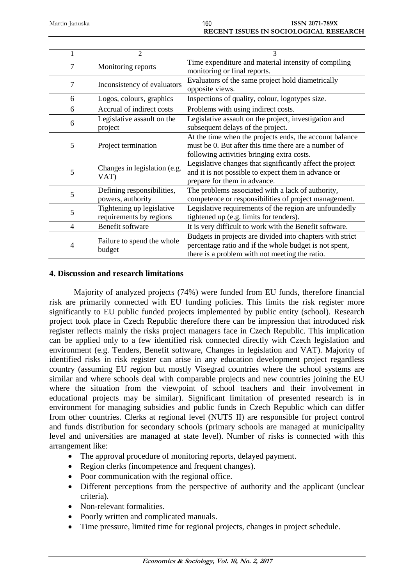| $\mathfrak{D}$             | 3                                                                                                                                  |
|----------------------------|------------------------------------------------------------------------------------------------------------------------------------|
| Monitoring reports         | Time expenditure and material intensity of compiling                                                                               |
|                            | monitoring or final reports.                                                                                                       |
|                            | Evaluators of the same project hold diametrically                                                                                  |
|                            | opposite views.                                                                                                                    |
| Logos, colours, graphics   | Inspections of quality, colour, logotypes size.                                                                                    |
| Accrual of indirect costs  | Problems with using indirect costs.                                                                                                |
| Legislative assault on the | Legislative assault on the project, investigation and                                                                              |
| project                    | subsequent delays of the project.                                                                                                  |
|                            | At the time when the projects ends, the account balance                                                                            |
|                            | must be 0. But after this time there are a number of                                                                               |
|                            | following activities bringing extra costs.                                                                                         |
|                            | Legislative changes that significantly affect the project                                                                          |
|                            | and it is not possible to expect them in advance or                                                                                |
|                            | prepare for them in advance.                                                                                                       |
| Defining responsibilities, | The problems associated with a lack of authority,                                                                                  |
| powers, authority          | competence or responsibilities of project management.                                                                              |
| Tightening up legislative  | Legislative requirements of the region are unfoundedly                                                                             |
| requirements by regions    | tightened up (e.g. limits for tenders).                                                                                            |
| Benefit software           | It is very difficult to work with the Benefit software.                                                                            |
|                            | Budgets in projects are divided into chapters with strict                                                                          |
|                            | percentage ratio and if the whole budget is not spent,                                                                             |
|                            | there is a problem with not meeting the ratio.                                                                                     |
|                            | Inconsistency of evaluators<br>Project termination<br>Changes in legislation (e.g.<br>VAT)<br>Failure to spend the whole<br>budget |

#### **4. Discussion and research limitations**

Majority of analyzed projects (74%) were funded from EU funds, therefore financial risk are primarily connected with EU funding policies. This limits the risk register more significantly to EU public funded projects implemented by public entity (school). Research project took place in Czech Republic therefore there can be impression that introduced risk register reflects mainly the risks project managers face in Czech Republic. This implication can be applied only to a few identified risk connected directly with Czech legislation and environment (e.g. Tenders, Benefit software, Changes in legislation and VAT). Majority of identified risks in risk register can arise in any education development project regardless country (assuming EU region but mostly Visegrad countries where the school systems are similar and where schools deal with comparable projects and new countries joining the EU where the situation from the viewpoint of school teachers and their involvement in educational projects may be similar). Significant limitation of presented research is in environment for managing subsidies and public funds in Czech Republic which can differ from other countries. Clerks at regional level (NUTS II) are responsible for project control and funds distribution for secondary schools (primary schools are managed at municipality level and universities are managed at state level). Number of risks is connected with this arrangement like:

- The approval procedure of monitoring reports, delayed payment.
- Region clerks (incompetence and frequent changes).
- Poor communication with the regional office.
- Different perceptions from the perspective of authority and the applicant (unclear criteria).
- Non-relevant formalities.
- Poorly written and complicated manuals.
- Time pressure, limited time for regional projects, changes in project schedule.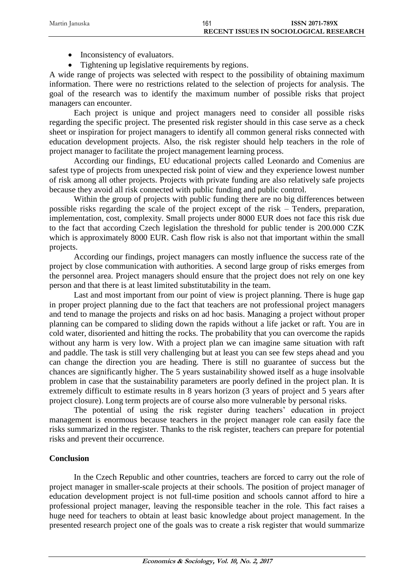| Martin Januska | 161<br><b>ISSN 2071-789X</b>                  |  |
|----------------|-----------------------------------------------|--|
|                | <b>RECENT ISSUES IN SOCIOLOGICAL RESEARCH</b> |  |
|                |                                               |  |

- Inconsistency of evaluators.
- Tightening up legislative requirements by regions.

A wide range of projects was selected with respect to the possibility of obtaining maximum information. There were no restrictions related to the selection of projects for analysis. The goal of the research was to identify the maximum number of possible risks that project managers can encounter.

Each project is unique and project managers need to consider all possible risks regarding the specific project. The presented risk register should in this case serve as a check sheet or inspiration for project managers to identify all common general risks connected with education development projects. Also, the risk register should help teachers in the role of project manager to facilitate the project management learning process.

According our findings, EU educational projects called Leonardo and Comenius are safest type of projects from unexpected risk point of view and they experience lowest number of risk among all other projects. Projects with private funding are also relatively safe projects because they avoid all risk connected with public funding and public control.

Within the group of projects with public funding there are no big differences between possible risks regarding the scale of the project except of the risk – Tenders, preparation, implementation, cost, complexity. Small projects under 8000 EUR does not face this risk due to the fact that according Czech legislation the threshold for public tender is 200.000 CZK which is approximately 8000 EUR. Cash flow risk is also not that important within the small projects.

According our findings, project managers can mostly influence the success rate of the project by close communication with authorities. A second large group of risks emerges from the personnel area. Project managers should ensure that the project does not rely on one key person and that there is at least limited substitutability in the team.

Last and most important from our point of view is project planning. There is huge gap in proper project planning due to the fact that teachers are not professional project managers and tend to manage the projects and risks on ad hoc basis. Managing a project without proper planning can be compared to sliding down the rapids without a life jacket or raft. You are in cold water, disoriented and hitting the rocks. The probability that you can overcome the rapids without any harm is very low. With a project plan we can imagine same situation with raft and paddle. The task is still very challenging but at least you can see few steps ahead and you can change the direction you are heading. There is still no guarantee of success but the chances are significantly higher. The 5 years sustainability showed itself as a huge insolvable problem in case that the sustainability parameters are poorly defined in the project plan. It is extremely difficult to estimate results in 8 years horizon (3 years of project and 5 years after project closure). Long term projects are of course also more vulnerable by personal risks.

The potential of using the risk register during teachers' education in project management is enormous because teachers in the project manager role can easily face the risks summarized in the register. Thanks to the risk register, teachers can prepare for potential risks and prevent their occurrence.

## **Conclusion**

In the Czech Republic and other countries, teachers are forced to carry out the role of project manager in smaller-scale projects at their schools. The position of project manager of education development project is not full-time position and schools cannot afford to hire a professional project manager, leaving the responsible teacher in the role. This fact raises a huge need for teachers to obtain at least basic knowledge about project management. In the presented research project one of the goals was to create a risk register that would summarize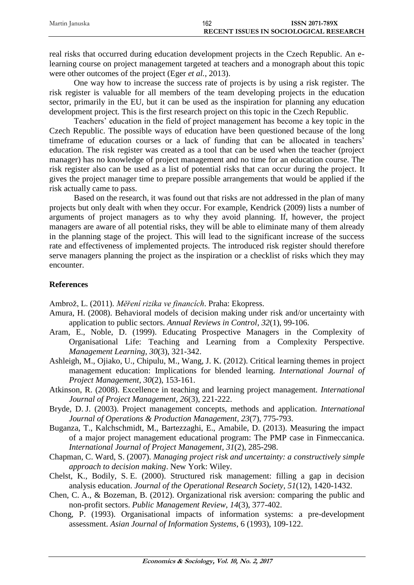| Martin Januska | 162 | <b>ISSN 2071-789X</b>                  |
|----------------|-----|----------------------------------------|
|                |     | RECENT ISSUES IN SOCIOLOGICAL RESEARCH |

real risks that occurred during education development projects in the Czech Republic. An elearning course on project management targeted at teachers and a monograph about this topic were other outcomes of the project (Eger *et al.*, 2013).

One way how to increase the success rate of projects is by using a risk register. The risk register is valuable for all members of the team developing projects in the education sector, primarily in the EU, but it can be used as the inspiration for planning any education development project. This is the first research project on this topic in the Czech Republic.

Teachers' education in the field of project management has become a key topic in the Czech Republic. The possible ways of education have been questioned because of the long timeframe of education courses or a lack of funding that can be allocated in teachers' education. The risk register was created as a tool that can be used when the teacher (project manager) has no knowledge of project management and no time for an education course. The risk register also can be used as a list of potential risks that can occur during the project. It gives the project manager time to prepare possible arrangements that would be applied if the risk actually came to pass.

Based on the research, it was found out that risks are not addressed in the plan of many projects but only dealt with when they occur. For example, Kendrick (2009) lists a number of arguments of project managers as to why they avoid planning. If, however, the project managers are aware of all potential risks, they will be able to eliminate many of them already in the planning stage of the project. This will lead to the significant increase of the success rate and effectiveness of implemented projects. The introduced risk register should therefore serve managers planning the project as the inspiration or a checklist of risks which they may encounter.

## **References**

Ambrož, L. (2011). *Měření rizika ve financích*. Praha: Ekopress.

- Amura, H. (2008). Behavioral models of decision making under risk and/or uncertainty with application to public sectors. *Annual Reviews in Control*, *32*(1), 99-106.
- Aram, E., Noble, D. (1999). Educating Prospective Managers in the Complexity of Organisational Life: Teaching and Learning from a Complexity Perspective. *Management Learning*, *30*(3), 321-342.
- Ashleigh, M., Ojiako, U., Chipulu, M., Wang, J. K. (2012). Critical learning themes in project management education: Implications for blended learning. *International Journal of Project Management*, *30*(2), 153-161.
- Atkinson, R. (2008). Excellence in teaching and learning project management. *International Journal of Project Management*, *26*(3), 221-222.
- Bryde, D. J. (2003). Project management concepts, methods and application. *International Journal of Operations & Production Management*, *23*(7), 775-793.
- Buganza, T., Kalchschmidt, M., Bartezzaghi, E., Amabile, D. (2013). Measuring the impact of a major project management educational program: The PMP case in Finmeccanica. *International Journal of Project Management*, *31*(2), 285-298.
- Chapman, C. Ward, S. (2007). *Managing project risk and uncertainty: a constructively simple approach to decision making*. New York: Wiley.
- Chelst, K., Bodily, S. E. (2000). Structured risk management: filling a gap in decision analysis education. *Journal of the Operational Research Society*, *51*(12), 1420-1432.
- Chen, C. A., & Bozeman, B. (2012). Organizational risk aversion: comparing the public and non-profit sectors. *Public Management Review*, *14*(3), 377-402.
- Chong, P. (1993). Organisational impacts of information systems: a pre-development assessment. *Asian Journal of Information Systems*, 6 (1993), 109-122.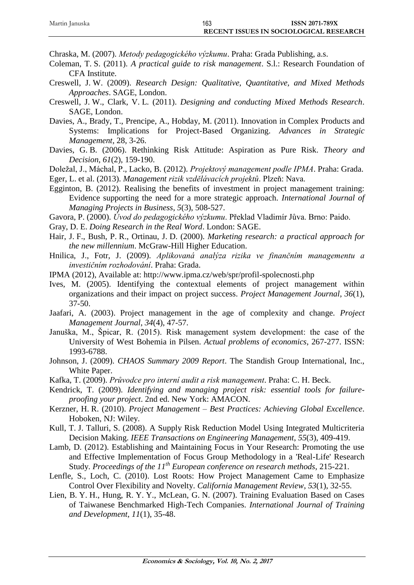| Martin Januska | 163                                    | <b>ISSN 2071-789X</b> |
|----------------|----------------------------------------|-----------------------|
|                | RECENT ISSUES IN SOCIOLOGICAL RESEARCH |                       |

Chraska, M. (2007). *Metody pedagogického výzkumu*. Praha: Grada Publishing, a.s.

- Coleman, T. S. (2011). *A practical guide to risk management*. S.l.: Research Foundation of CFA Institute.
- Creswell, J. W. (2009). *Research Design: Qualitative, Quantitative, and Mixed Methods Approaches*. SAGE, London.
- Creswell, J. W., Clark, V. L. (2011). *Designing and conducting Mixed Methods Research*. SAGE, London.
- Davies, A., Brady, T., Prencipe, A., Hobday, M. (2011). Innovation in Complex Products and Systems: Implications for Project-Based Organizing. *Advances in Strategic Management*, 28, 3-26.
- Davies, G. B. (2006). Rethinking Risk Attitude: Aspiration as Pure Risk. *Theory and Decision*, *61*(2), 159-190.
- Doležal, J., Máchal, P., Lacko, B. (2012). *Projektový management podle IPMA*. Praha: Grada.
- Eger, L. et al. (2013). *Management rizik vzdělávacích projektů*. Plzeň: Nava.
- Egginton, B. (2012). Realising the benefits of investment in project management training: Evidence supporting the need for a more strategic approach. *International Journal of Managing Projects in Business*, *5*(3), 508-527.
- Gavora, P. (2000). *Úvod do pedagogického výzkumu*. Překlad Vladimír Jůva. Brno: Paido.
- Gray, D. E. *Doing Research in the Real Word*. London: SAGE.
- Hair, J. F., Bush, P. R., Ortinau, J. D. (2000). *Marketing research: a practical approach for the new millennium*. McGraw-Hill Higher Education.
- Hnilica, J., Fotr, J. (2009). *Aplikovaná analýza rizika ve finančním managementu a investičním rozhodování*. Praha: Grada.
- IPMA (2012), Available at: http://www.ipma.cz/web/spr/profil-spolecnosti.php
- Ives, M. (2005). Identifying the contextual elements of project management within organizations and their impact on project success. *Project Management Journal*, *36*(1), 37-50.
- Jaafari, A. (2003). Project management in the age of complexity and change. *Project Management Journal*, *34*(4), 47-57.
- Januška, M., Špicar, R. (2015). Risk management system development: the case of the University of West Bohemia in Pilsen. *Actual problems of economics*, 267-277. ISSN: 1993-6788.
- Johnson, J. (2009). *CHAOS Summary 2009 Report*. The Standish Group International, Inc., White Paper.
- Kafka, T. (2009). *Průvodce pro interní audit a risk management*. Praha: C. H. Beck.
- Kendrick, T. (2009). *Identifying and managing project risk: essential tools for failureproofing your project*. 2nd ed. New York: AMACON.
- Kerzner, H. R. (2010). *Project Management – Best Practices: Achieving Global Excellence*. Hoboken, NJ: Wiley.
- Kull, T. J. Talluri, S. (2008). A Supply Risk Reduction Model Using Integrated Multicriteria Decision Making. *IEEE Transactions on Engineering Management*, *55*(3), 409-419.
- Lamb, D. (2012). Establishing and Maintaining Focus in Your Research: Promoting the use and Effective Implementation of Focus Group Methodology in a 'Real-Life' Research Study. *Proceedings of the 11th European conference on research methods*, 215-221.
- Lenfle, S., Loch, C. (2010). Lost Roots: How Project Management Came to Emphasize Control Over Flexibility and Novelty. *California Management Review*, *53*(1), 32-55.
- Lien, B. Y. H., Hung, R. Y. Y., McLean, G. N. (2007). Training Evaluation Based on Cases of Taiwanese Benchmarked High-Tech Companies. *International Journal of Training and Development*, *11*(1), 35-48.